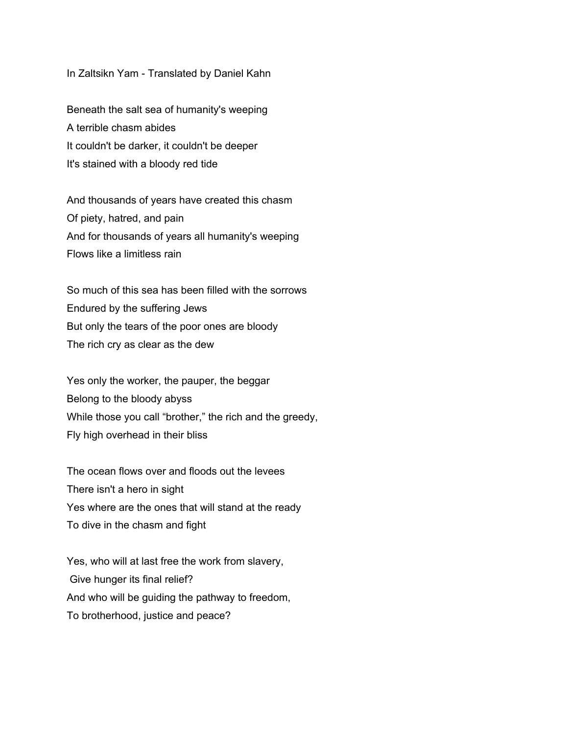## In Zaltsikn Yam - Translated by Daniel Kahn

Beneath the salt sea of humanity's weeping A terrible chasm abides It couldn't be darker, it couldn't be deeper It's stained with a bloody red tide

And thousands of years have created this chasm Of piety, hatred, and pain And for thousands of years all humanity's weeping Flows like a limitless rain

So much of this sea has been filled with the sorrows Endured by the suffering Jews But only the tears of the poor ones are bloody The rich cry as clear as the dew

Yes only the worker, the pauper, the beggar Belong to the bloody abyss While those you call "brother," the rich and the greedy, Fly high overhead in their bliss

The ocean flows over and floods out the levees There isn't a hero in sight Yes where are the ones that will stand at the ready To dive in the chasm and fight

Yes, who will at last free the work from slavery, Give hunger its final relief? And who will be guiding the pathway to freedom, To brotherhood, justice and peace?